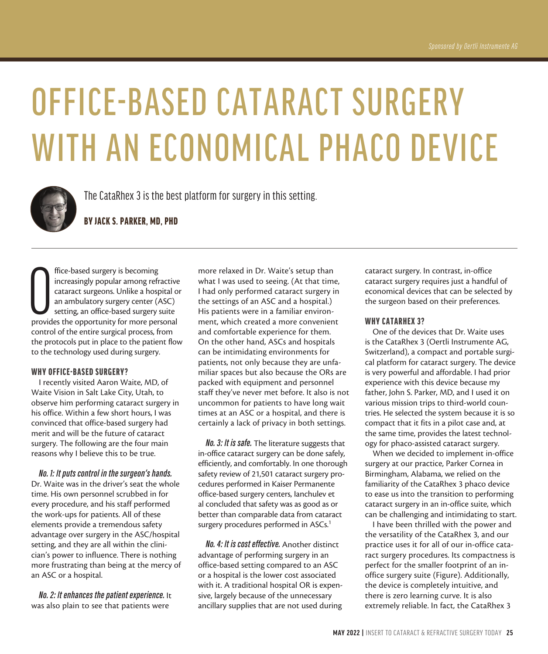# OFFICE-BASED CATARACT SURGERY WITH AN ECONOMICAL PHACO DEVICE



The CataRhex 3 is the best platform for surgery in this setting.

BY JACK S. PARKER, MD, PHD

ffice-based surgery is becoming<br>increasingly popular among refractive<br>cataract surgeons. Unlike a hospital o<br>an ambulatory surgery center (ASC)<br>setting, an office-based surgery suite<br>provides the opportunity for more perso ffice-based surgery is becoming increasingly popular among refractive cataract surgeons. Unlike a hospital or an ambulatory surgery center (ASC) setting, an office-based surgery suite control of the entire surgical process, from the protocols put in place to the patient flow to the technology used during surgery.

## WHY OFFICE-BASED SURGERY?

I recently visited Aaron Waite, MD, of Waite Vision in Salt Lake City, Utah, to observe him performing cataract surgery in his office. Within a few short hours, I was convinced that office-based surgery had merit and will be the future of cataract surgery. The following are the four main reasons why I believe this to be true.

*No. 1: It puts control in the surgeon's hands.* Dr. Waite was in the driver's seat the whole time. His own personnel scrubbed in for every procedure, and his staff performed the work-ups for patients. All of these elements provide a tremendous safety advantage over surgery in the ASC/hospital setting, and they are all within the clinician's power to influence. There is nothing more frustrating than being at the mercy of an ASC or a hospital.

*No. 2: It enhances the patient experience.* It was also plain to see that patients were

more relaxed in Dr. Waite's setup than what I was used to seeing. (At that time, I had only performed cataract surgery in the settings of an ASC and a hospital.) His patients were in a familiar environment, which created a more convenient and comfortable experience for them. On the other hand, ASCs and hospitals can be intimidating environments for patients, not only because they are unfamiliar spaces but also because the ORs are packed with equipment and personnel staff they've never met before. It also is not uncommon for patients to have long wait times at an ASC or a hospital, and there is certainly a lack of privacy in both settings.

*No. 3: It is safe.* The literature suggests that in-office cataract surgery can be done safely, efficiently, and comfortably. In one thorough safety review of 21,501 cataract surgery procedures performed in Kaiser Permanente office-based surgery centers, Ianchulev et al concluded that safety was as good as or better than comparable data from cataract surgery procedures performed in ASCs.<sup>1</sup>

*No. 4: It is cost effective.* Another distinct advantage of performing surgery in an office-based setting compared to an ASC or a hospital is the lower cost associated with it. A traditional hospital OR is expensive, largely because of the unnecessary ancillary supplies that are not used during

cataract surgery. In contrast, in-office cataract surgery requires just a handful of economical devices that can be selected by the surgeon based on their preferences.

# WHY CATARHEX 3?

One of the devices that Dr. Waite uses is the CataRhex 3 (Oertli Instrumente AG, Switzerland), a compact and portable surgical platform for cataract surgery. The device is very powerful and affordable. I had prior experience with this device because my father, John S. Parker, MD, and I used it on various mission trips to third-world countries. He selected the system because it is so compact that it fits in a pilot case and, at the same time, provides the latest technology for phaco-assisted cataract surgery.

When we decided to implement in-office surgery at our practice, Parker Cornea in Birmingham, Alabama, we relied on the familiarity of the CataRhex 3 phaco device to ease us into the transition to performing cataract surgery in an in-office suite, which can be challenging and intimidating to start.

I have been thrilled with the power and the versatility of the CataRhex 3, and our practice uses it for all of our in-office cataract surgery procedures. Its compactness is perfect for the smaller footprint of an inoffice surgery suite (Figure). Additionally, the device is completely intuitive, and there is zero learning curve. It is also extremely reliable. In fact, the CataRhex 3